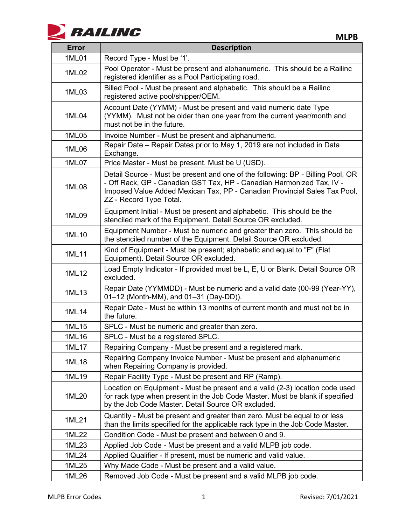

| <b>Error</b> | <b>Description</b>                                                                                                                                                                                                                                               |
|--------------|------------------------------------------------------------------------------------------------------------------------------------------------------------------------------------------------------------------------------------------------------------------|
| 1ML01        | Record Type - Must be '1'.                                                                                                                                                                                                                                       |
| 1ML02        | Pool Operator - Must be present and alphanumeric. This should be a Railinc<br>registered identifier as a Pool Participating road.                                                                                                                                |
| 1ML03        | Billed Pool - Must be present and alphabetic. This should be a Railinc<br>registered active pool/shipper/OEM.                                                                                                                                                    |
| 1ML04        | Account Date (YYMM) - Must be present and valid numeric date Type<br>(YYMM). Must not be older than one year from the current year/month and<br>must not be in the future.                                                                                       |
| 1ML05        | Invoice Number - Must be present and alphanumeric.                                                                                                                                                                                                               |
| 1ML06        | Repair Date – Repair Dates prior to May 1, 2019 are not included in Data<br>Exchange.                                                                                                                                                                            |
| 1ML07        | Price Master - Must be present. Must be U (USD).                                                                                                                                                                                                                 |
| 1ML08        | Detail Source - Must be present and one of the following: BP - Billing Pool, OR<br>- Off Rack, GP - Canadian GST Tax, HP - Canadian Harmonized Tax, IV -<br>Imposed Value Added Mexican Tax, PP - Canadian Provincial Sales Tax Pool,<br>ZZ - Record Type Total. |
| 1ML09        | Equipment Initial - Must be present and alphabetic. This should be the<br>stenciled mark of the Equipment. Detail Source OR excluded.                                                                                                                            |
| 1ML10        | Equipment Number - Must be numeric and greater than zero. This should be<br>the stenciled number of the Equipment. Detail Source OR excluded.                                                                                                                    |
| 1ML11        | Kind of Equipment - Must be present; alphabetic and equal to "F" (Flat<br>Equipment). Detail Source OR excluded.                                                                                                                                                 |
| 1ML12        | Load Empty Indicator - If provided must be L, E, U or Blank. Detail Source OR<br>excluded.                                                                                                                                                                       |
| 1ML13        | Repair Date (YYMMDD) - Must be numeric and a valid date (00-99 (Year-YY),<br>01-12 (Month-MM), and 01-31 (Day-DD)).                                                                                                                                              |
| 1ML14        | Repair Date - Must be within 13 months of current month and must not be in<br>the future.                                                                                                                                                                        |
| 1ML15        | SPLC - Must be numeric and greater than zero.                                                                                                                                                                                                                    |
| 1ML16        | SPLC - Must be a registered SPLC.                                                                                                                                                                                                                                |
| 1ML17        | Repairing Company - Must be present and a registered mark.                                                                                                                                                                                                       |
| 1ML18        | Repairing Company Invoice Number - Must be present and alphanumeric<br>when Repairing Company is provided.                                                                                                                                                       |
| 1ML19        | Repair Facility Type - Must be present and RP (Ramp).                                                                                                                                                                                                            |
| 1ML20        | Location on Equipment - Must be present and a valid (2-3) location code used<br>for rack type when present in the Job Code Master. Must be blank if specified<br>by the Job Code Master. Detail Source OR excluded.                                              |
| 1ML21        | Quantity - Must be present and greater than zero. Must be equal to or less<br>than the limits specified for the applicable rack type in the Job Code Master.                                                                                                     |
| 1ML22        | Condition Code - Must be present and between 0 and 9.                                                                                                                                                                                                            |
| 1ML23        | Applied Job Code - Must be present and a valid MLPB job code.                                                                                                                                                                                                    |
| 1ML24        | Applied Qualifier - If present, must be numeric and valid value.                                                                                                                                                                                                 |
| 1ML25        | Why Made Code - Must be present and a valid value.                                                                                                                                                                                                               |
| 1ML26        | Removed Job Code - Must be present and a valid MLPB job code.                                                                                                                                                                                                    |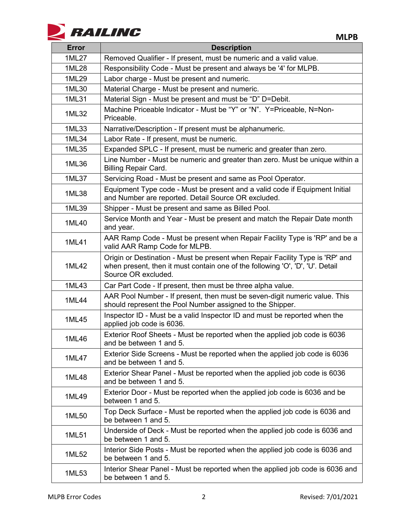

| <b>Error</b> | <b>Description</b>                                                                                                                                                                    |
|--------------|---------------------------------------------------------------------------------------------------------------------------------------------------------------------------------------|
| 1ML27        | Removed Qualifier - If present, must be numeric and a valid value.                                                                                                                    |
| 1ML28        | Responsibility Code - Must be present and always be '4' for MLPB.                                                                                                                     |
| 1ML29        | Labor charge - Must be present and numeric.                                                                                                                                           |
| 1ML30        | Material Charge - Must be present and numeric.                                                                                                                                        |
| 1ML31        | Material Sign - Must be present and must be "D" D=Debit.                                                                                                                              |
| 1ML32        | Machine Priceable Indicator - Must be "Y" or "N". Y=Priceable, N=Non-<br>Priceable.                                                                                                   |
| 1ML33        | Narrative/Description - If present must be alphanumeric.                                                                                                                              |
| 1ML34        | Labor Rate - If present, must be numeric.                                                                                                                                             |
| 1ML35        | Expanded SPLC - If present, must be numeric and greater than zero.                                                                                                                    |
| 1ML36        | Line Number - Must be numeric and greater than zero. Must be unique within a<br><b>Billing Repair Card.</b>                                                                           |
| 1ML37        | Servicing Road - Must be present and same as Pool Operator.                                                                                                                           |
| 1ML38        | Equipment Type code - Must be present and a valid code if Equipment Initial<br>and Number are reported. Detail Source OR excluded.                                                    |
| 1ML39        | Shipper - Must be present and same as Billed Pool.                                                                                                                                    |
| 1ML40        | Service Month and Year - Must be present and match the Repair Date month<br>and year.                                                                                                 |
| 1ML41        | AAR Ramp Code - Must be present when Repair Facility Type is 'RP' and be a<br>valid AAR Ramp Code for MLPB.                                                                           |
| 1ML42        | Origin or Destination - Must be present when Repair Facility Type is 'RP' and<br>when present, then it must contain one of the following 'O', 'D', 'U'. Detail<br>Source OR excluded. |
| 1ML43        | Car Part Code - If present, then must be three alpha value.                                                                                                                           |
| 1ML44        | AAR Pool Number - If present, then must be seven-digit numeric value. This<br>should represent the Pool Number assigned to the Shipper.                                               |
| 1ML45        | Inspector ID - Must be a valid Inspector ID and must be reported when the<br>applied job code is 6036.                                                                                |
| 1ML46        | Exterior Roof Sheets - Must be reported when the applied job code is 6036<br>and be between 1 and 5.                                                                                  |
| 1ML47        | Exterior Side Screens - Must be reported when the applied job code is 6036<br>and be between 1 and 5.                                                                                 |
| 1ML48        | Exterior Shear Panel - Must be reported when the applied job code is 6036<br>and be between 1 and 5.                                                                                  |
| 1ML49        | Exterior Door - Must be reported when the applied job code is 6036 and be<br>between 1 and 5.                                                                                         |
| 1ML50        | Top Deck Surface - Must be reported when the applied job code is 6036 and<br>be between 1 and 5.                                                                                      |
| 1ML51        | Underside of Deck - Must be reported when the applied job code is 6036 and<br>be between 1 and 5.                                                                                     |
| 1ML52        | Interior Side Posts - Must be reported when the applied job code is 6036 and<br>be between 1 and 5.                                                                                   |
| 1ML53        | Interior Shear Panel - Must be reported when the applied job code is 6036 and<br>be between 1 and 5.                                                                                  |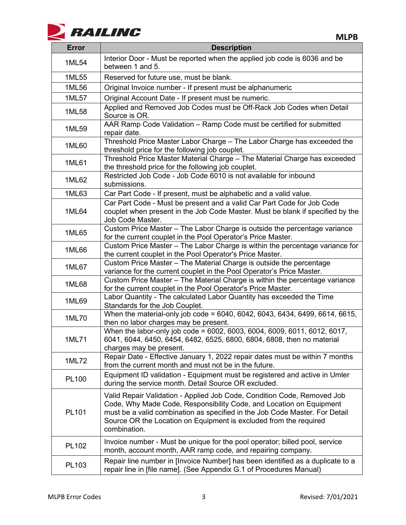

| <b>Error</b> | <b>Description</b>                                                                                                                                                                                                                                                                                                 |
|--------------|--------------------------------------------------------------------------------------------------------------------------------------------------------------------------------------------------------------------------------------------------------------------------------------------------------------------|
| 1ML54        | Interior Door - Must be reported when the applied job code is 6036 and be<br>between 1 and 5.                                                                                                                                                                                                                      |
| 1ML55        | Reserved for future use, must be blank.                                                                                                                                                                                                                                                                            |
| 1ML56        | Original Invoice number - If present must be alphanumeric                                                                                                                                                                                                                                                          |
| 1ML57        | Original Account Date - If present must be numeric.                                                                                                                                                                                                                                                                |
| 1ML58        | Applied and Removed Job Codes must be Off-Rack Job Codes when Detail<br>Source is OR.                                                                                                                                                                                                                              |
| 1ML59        | AAR Ramp Code Validation - Ramp Code must be certified for submitted<br>repair date.                                                                                                                                                                                                                               |
| 1ML60        | Threshold Price Master Labor Charge - The Labor Charge has exceeded the<br>threshold price for the following job couplet.                                                                                                                                                                                          |
| 1ML61        | Threshold Price Master Material Charge - The Material Charge has exceeded<br>the threshold price for the following job couplet.                                                                                                                                                                                    |
| 1ML62        | Restricted Job Code - Job Code 6010 is not available for inbound<br>submissions.                                                                                                                                                                                                                                   |
| 1ML63        | Car Part Code - If present, must be alphabetic and a valid value.                                                                                                                                                                                                                                                  |
| 1ML64        | Car Part Code - Must be present and a valid Car Part Code for Job Code<br>couplet when present in the Job Code Master. Must be blank if specified by the<br>Job Code Master.                                                                                                                                       |
| 1ML65        | Custom Price Master - The Labor Charge is outside the percentage variance<br>for the current couplet in the Pool Operator's Price Master.                                                                                                                                                                          |
| 1ML66        | Custom Price Master - The Labor Charge is within the percentage variance for<br>the current couplet in the Pool Operator's Price Master.                                                                                                                                                                           |
| 1ML67        | Custom Price Master - The Material Charge is outside the percentage<br>variance for the current couplet in the Pool Operator's Price Master.                                                                                                                                                                       |
| 1ML68        | Custom Price Master - The Material Charge is within the percentage variance<br>for the current couplet in the Pool Operator's Price Master.                                                                                                                                                                        |
| 1ML69        | Labor Quantity - The calculated Labor Quantity has exceeded the Time<br>Standards for the Job Couplet.                                                                                                                                                                                                             |
| 1ML70        | When the material-only job code = 6040, 6042, 6043, 6434, 6499, 6614, 6615,<br>then no labor charges may be present.                                                                                                                                                                                               |
| 1ML71        | When the labor-only job code = 6002, 6003, 6004, 6009, 6011, 6012, 6017,<br>6041, 6044, 6450, 6454, 6482, 6525, 6800, 6804, 6808, then no material<br>charges may be present.                                                                                                                                      |
| 1ML72        | Repair Date - Effective January 1, 2022 repair dates must be within 7 months<br>from the current month and must not be in the future.                                                                                                                                                                              |
| PL100        | Equipment ID validation - Equipment must be registered and active in Umler<br>during the service month. Detail Source OR excluded.                                                                                                                                                                                 |
| PL101        | Valid Repair Validation - Applied Job Code, Condition Code, Removed Job<br>Code, Why Made Code, Responsibility Code, and Location on Equipment<br>must be a valid combination as specified in the Job Code Master. For Detail<br>Source OR the Location on Equipment is excluded from the required<br>combination. |
| PL102        | Invoice number - Must be unique for the pool operator; billed pool, service<br>month, account month, AAR ramp code, and repairing company.                                                                                                                                                                         |
| PL103        | Repair line number in [Invoice Number] has been identified as a duplicate to a<br>repair line in [file name]. (See Appendix G.1 of Procedures Manual)                                                                                                                                                              |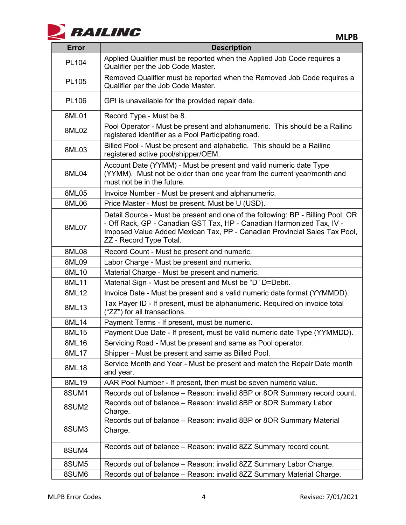

**MLPB**

| <b>Error</b> | <b>Description</b>                                                                                                                                                                                                                                               |
|--------------|------------------------------------------------------------------------------------------------------------------------------------------------------------------------------------------------------------------------------------------------------------------|
| PL104        | Applied Qualifier must be reported when the Applied Job Code requires a<br>Qualifier per the Job Code Master.                                                                                                                                                    |
| PL105        | Removed Qualifier must be reported when the Removed Job Code requires a<br>Qualifier per the Job Code Master.                                                                                                                                                    |
| <b>PL106</b> | GPI is unavailable for the provided repair date.                                                                                                                                                                                                                 |
| 8ML01        | Record Type - Must be 8.                                                                                                                                                                                                                                         |
| 8ML02        | Pool Operator - Must be present and alphanumeric. This should be a Railinc<br>registered identifier as a Pool Participating road.                                                                                                                                |
| 8ML03        | Billed Pool - Must be present and alphabetic. This should be a Railinc<br>registered active pool/shipper/OEM.                                                                                                                                                    |
| 8ML04        | Account Date (YYMM) - Must be present and valid numeric date Type<br>(YYMM). Must not be older than one year from the current year/month and<br>must not be in the future.                                                                                       |
| 8ML05        | Invoice Number - Must be present and alphanumeric.                                                                                                                                                                                                               |
| 8ML06        | Price Master - Must be present. Must be U (USD).                                                                                                                                                                                                                 |
| 8ML07        | Detail Source - Must be present and one of the following: BP - Billing Pool, OR<br>- Off Rack, GP - Canadian GST Tax, HP - Canadian Harmonized Tax, IV -<br>Imposed Value Added Mexican Tax, PP - Canadian Provincial Sales Tax Pool,<br>ZZ - Record Type Total. |
| 8ML08        | Record Count - Must be present and numeric.                                                                                                                                                                                                                      |
| 8ML09        | Labor Charge - Must be present and numeric.                                                                                                                                                                                                                      |
| 8ML10        | Material Charge - Must be present and numeric.                                                                                                                                                                                                                   |
| 8ML11        | Material Sign - Must be present and Must be "D" D=Debit.                                                                                                                                                                                                         |
| 8ML12        | Invoice Date - Must be present and a valid numeric date format (YYMMDD).                                                                                                                                                                                         |
| 8ML13        | Tax Payer ID - If present, must be alphanumeric. Required on invoice total<br>("ZZ") for all transactions.                                                                                                                                                       |
| 8ML14        | Payment Terms - If present, must be numeric.                                                                                                                                                                                                                     |
| 8ML15        | Payment Due Date - If present, must be valid numeric date Type (YYMMDD).                                                                                                                                                                                         |
| 8ML16        | Servicing Road - Must be present and same as Pool operator.                                                                                                                                                                                                      |
| 8ML17        | Shipper - Must be present and same as Billed Pool.                                                                                                                                                                                                               |
| 8ML18        | Service Month and Year - Must be present and match the Repair Date month<br>and year.                                                                                                                                                                            |
| 8ML19        | AAR Pool Number - If present, then must be seven numeric value.                                                                                                                                                                                                  |
| 8SUM1        | Records out of balance - Reason: invalid 8BP or 8OR Summary record count.                                                                                                                                                                                        |
| 8SUM2        | Records out of balance - Reason: invalid 8BP or 8OR Summary Labor<br>Charge.                                                                                                                                                                                     |
| 8SUM3        | Records out of balance - Reason: invalid 8BP or 8OR Summary Material<br>Charge.                                                                                                                                                                                  |
| 8SUM4        | Records out of balance - Reason: invalid 8ZZ Summary record count.                                                                                                                                                                                               |
| 8SUM5        | Records out of balance - Reason: invalid 8ZZ Summary Labor Charge.                                                                                                                                                                                               |
| 8SUM6        | Records out of balance - Reason: invalid 8ZZ Summary Material Charge.                                                                                                                                                                                            |